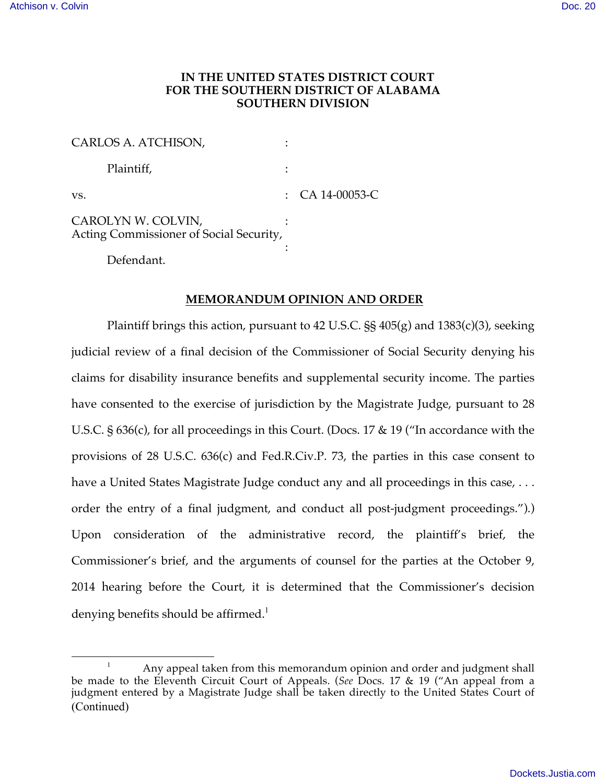# **IN THE UNITED STATES DISTRICT COURT FOR THE SOUTHERN DISTRICT OF ALABAMA SOUTHERN DIVISION**

| CARLOS A. ATCHISON,                                           |                    |
|---------------------------------------------------------------|--------------------|
| Plaintiff,                                                    |                    |
| VS.                                                           | : $CA\ 14-00053-C$ |
| CAROLYN W. COLVIN,<br>Acting Commissioner of Social Security, |                    |
| Defendant.                                                    |                    |

#### **MEMORANDUM OPINION AND ORDER**

Plaintiff brings this action, pursuant to 42 U.S.C.  $\S$ § 405(g) and 1383(c)(3), seeking judicial review of a final decision of the Commissioner of Social Security denying his claims for disability insurance benefits and supplemental security income. The parties have consented to the exercise of jurisdiction by the Magistrate Judge, pursuant to 28 U.S.C. § 636(c), for all proceedings in this Court. (Docs. 17 & 19 ("In accordance with the provisions of 28 U.S.C. 636(c) and Fed.R.Civ.P. 73, the parties in this case consent to have a United States Magistrate Judge conduct any and all proceedings in this case, ... order the entry of a final judgment, and conduct all post-judgment proceedings.").) Upon consideration of the administrative record, the plaintiff's brief, the Commissioner's brief, and the arguments of counsel for the parties at the October 9, 2014 hearing before the Court, it is determined that the Commissioner's decision denying benefits should be affirmed.<sup>1</sup>

<sup>&</sup>lt;sup>1</sup> Any appeal taken from this memorandum opinion and order and judgment shall be made to the Eleventh Circuit Court of Appeals. (*See* Docs. 17 & 19 ("An appeal from a judgment entered by a Magistrate Judge shall be taken directly to the United States Court of (Continued)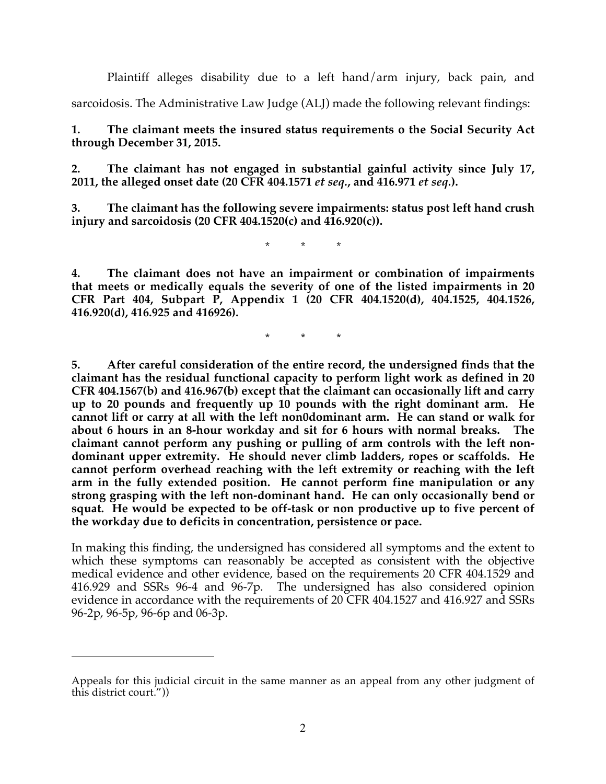Plaintiff alleges disability due to a left hand/arm injury, back pain, and

sarcoidosis. The Administrative Law Judge (ALJ) made the following relevant findings:

**1. The claimant meets the insured status requirements o the Social Security Act through December 31, 2015.**

**2. The claimant has not engaged in substantial gainful activity since July 17, 2011, the alleged onset date (20 CFR 404.1571** *et seq.***, and 416.971** *et seq.***).** 

**3. The claimant has the following severe impairments: status post left hand crush injury and sarcoidosis (20 CFR 404.1520(c) and 416.920(c)).**

\* \* \*

**4. The claimant does not have an impairment or combination of impairments that meets or medically equals the severity of one of the listed impairments in 20 CFR Part 404, Subpart P, Appendix 1 (20 CFR 404.1520(d), 404.1525, 404.1526, 416.920(d), 416.925 and 416926).**

\* \* \*

**5. After careful consideration of the entire record, the undersigned finds that the claimant has the residual functional capacity to perform light work as defined in 20 CFR 404.1567(b) and 416.967(b) except that the claimant can occasionally lift and carry up to 20 pounds and frequently up 10 pounds with the right dominant arm. He cannot lift or carry at all with the left non0dominant arm. He can stand or walk for about 6 hours in an 8-hour workday and sit for 6 hours with normal breaks. The claimant cannot perform any pushing or pulling of arm controls with the left nondominant upper extremity. He should never climb ladders, ropes or scaffolds. He cannot perform overhead reaching with the left extremity or reaching with the left arm in the fully extended position. He cannot perform fine manipulation or any strong grasping with the left non-dominant hand. He can only occasionally bend or squat. He would be expected to be off-task or non productive up to five percent of the workday due to deficits in concentration, persistence or pace.**

In making this finding, the undersigned has considered all symptoms and the extent to which these symptoms can reasonably be accepted as consistent with the objective medical evidence and other evidence, based on the requirements 20 CFR 404.1529 and 416.929 and SSRs 96-4 and 96-7p. The undersigned has also considered opinion evidence in accordance with the requirements of 20 CFR 404.1527 and 416.927 and SSRs 96-2p, 96-5p, 96-6p and 06-3p.

1

Appeals for this judicial circuit in the same manner as an appeal from any other judgment of this district court."))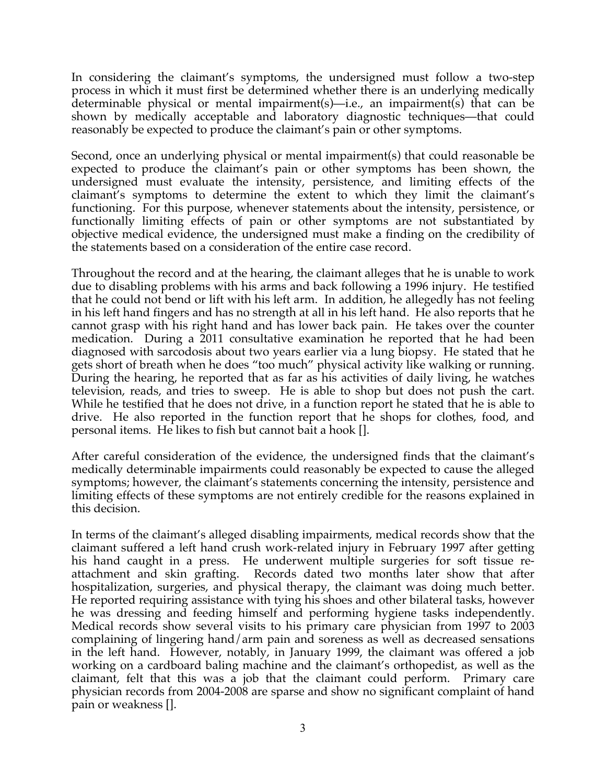In considering the claimant's symptoms, the undersigned must follow a two-step process in which it must first be determined whether there is an underlying medically determinable physical or mental impairment(s)—i.e., an impairment(s) that can be shown by medically acceptable and laboratory diagnostic techniques—that could reasonably be expected to produce the claimant's pain or other symptoms.

Second, once an underlying physical or mental impairment(s) that could reasonable be expected to produce the claimant's pain or other symptoms has been shown, the undersigned must evaluate the intensity, persistence, and limiting effects of the claimant's symptoms to determine the extent to which they limit the claimant's functioning. For this purpose, whenever statements about the intensity, persistence, or functionally limiting effects of pain or other symptoms are not substantiated by objective medical evidence, the undersigned must make a finding on the credibility of the statements based on a consideration of the entire case record.

Throughout the record and at the hearing, the claimant alleges that he is unable to work due to disabling problems with his arms and back following a 1996 injury. He testified that he could not bend or lift with his left arm. In addition, he allegedly has not feeling in his left hand fingers and has no strength at all in his left hand. He also reports that he cannot grasp with his right hand and has lower back pain. He takes over the counter medication. During a 2011 consultative examination he reported that he had been diagnosed with sarcodosis about two years earlier via a lung biopsy. He stated that he gets short of breath when he does "too much" physical activity like walking or running. During the hearing, he reported that as far as his activities of daily living, he watches television, reads, and tries to sweep. He is able to shop but does not push the cart. While he testified that he does not drive, in a function report he stated that he is able to drive. He also reported in the function report that he shops for clothes, food, and personal items. He likes to fish but cannot bait a hook [].

After careful consideration of the evidence, the undersigned finds that the claimant's medically determinable impairments could reasonably be expected to cause the alleged symptoms; however, the claimant's statements concerning the intensity, persistence and limiting effects of these symptoms are not entirely credible for the reasons explained in this decision.

In terms of the claimant's alleged disabling impairments, medical records show that the claimant suffered a left hand crush work-related injury in February 1997 after getting his hand caught in a press. He underwent multiple surgeries for soft tissue reattachment and skin grafting. Records dated two months later show that after hospitalization, surgeries, and physical therapy, the claimant was doing much better. He reported requiring assistance with tying his shoes and other bilateral tasks, however he was dressing and feeding himself and performing hygiene tasks independently. Medical records show several visits to his primary care physician from 1997 to 2003 complaining of lingering hand/arm pain and soreness as well as decreased sensations in the left hand. However, notably, in January 1999, the claimant was offered a job working on a cardboard baling machine and the claimant's orthopedist, as well as the claimant, felt that this was a job that the claimant could perform. Primary care physician records from 2004-2008 are sparse and show no significant complaint of hand pain or weakness [].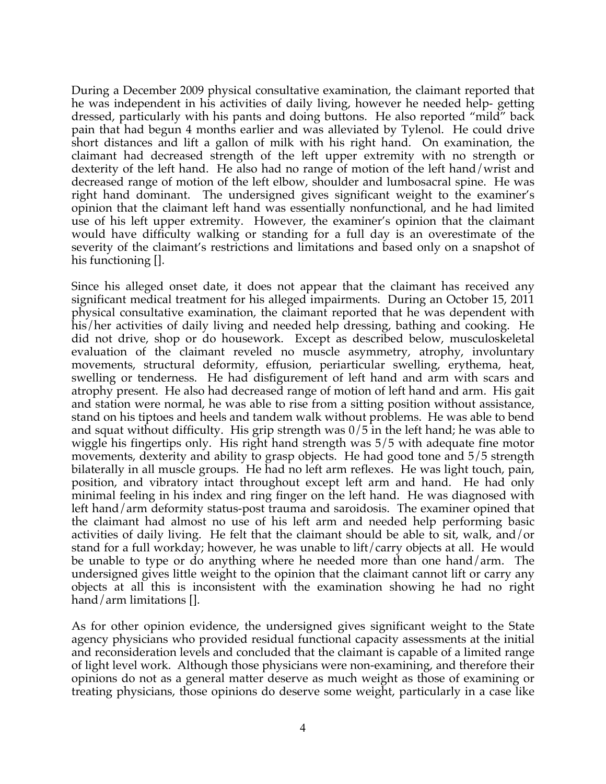During a December 2009 physical consultative examination, the claimant reported that he was independent in his activities of daily living, however he needed help- getting dressed, particularly with his pants and doing buttons. He also reported "mild" back pain that had begun 4 months earlier and was alleviated by Tylenol. He could drive short distances and lift a gallon of milk with his right hand. On examination, the claimant had decreased strength of the left upper extremity with no strength or dexterity of the left hand. He also had no range of motion of the left hand/wrist and decreased range of motion of the left elbow, shoulder and lumbosacral spine. He was right hand dominant. The undersigned gives significant weight to the examiner's opinion that the claimant left hand was essentially nonfunctional, and he had limited use of his left upper extremity. However, the examiner's opinion that the claimant would have difficulty walking or standing for a full day is an overestimate of the severity of the claimant's restrictions and limitations and based only on a snapshot of his functioning [].

Since his alleged onset date, it does not appear that the claimant has received any significant medical treatment for his alleged impairments. During an October 15, 2011 physical consultative examination, the claimant reported that he was dependent with his/her activities of daily living and needed help dressing, bathing and cooking. He did not drive, shop or do housework. Except as described below, musculoskeletal evaluation of the claimant reveled no muscle asymmetry, atrophy, involuntary movements, structural deformity, effusion, periarticular swelling, erythema, heat, swelling or tenderness. He had disfigurement of left hand and arm with scars and atrophy present. He also had decreased range of motion of left hand and arm. His gait and station were normal, he was able to rise from a sitting position without assistance, stand on his tiptoes and heels and tandem walk without problems. He was able to bend and squat without difficulty. His grip strength was  $0/5$  in the left hand; he was able to wiggle his fingertips only. His right hand strength was 5/5 with adequate fine motor movements, dexterity and ability to grasp objects. He had good tone and 5/5 strength bilaterally in all muscle groups. He had no left arm reflexes. He was light touch, pain, position, and vibratory intact throughout except left arm and hand. He had only minimal feeling in his index and ring finger on the left hand. He was diagnosed with left hand/arm deformity status-post trauma and saroidosis. The examiner opined that the claimant had almost no use of his left arm and needed help performing basic activities of daily living. He felt that the claimant should be able to sit, walk, and/or stand for a full workday; however, he was unable to lift/carry objects at all. He would be unable to type or do anything where he needed more than one hand/arm. The undersigned gives little weight to the opinion that the claimant cannot lift or carry any objects at all this is inconsistent with the examination showing he had no right hand/arm limitations [].

As for other opinion evidence, the undersigned gives significant weight to the State agency physicians who provided residual functional capacity assessments at the initial and reconsideration levels and concluded that the claimant is capable of a limited range of light level work. Although those physicians were non-examining, and therefore their opinions do not as a general matter deserve as much weight as those of examining or treating physicians, those opinions do deserve some weight, particularly in a case like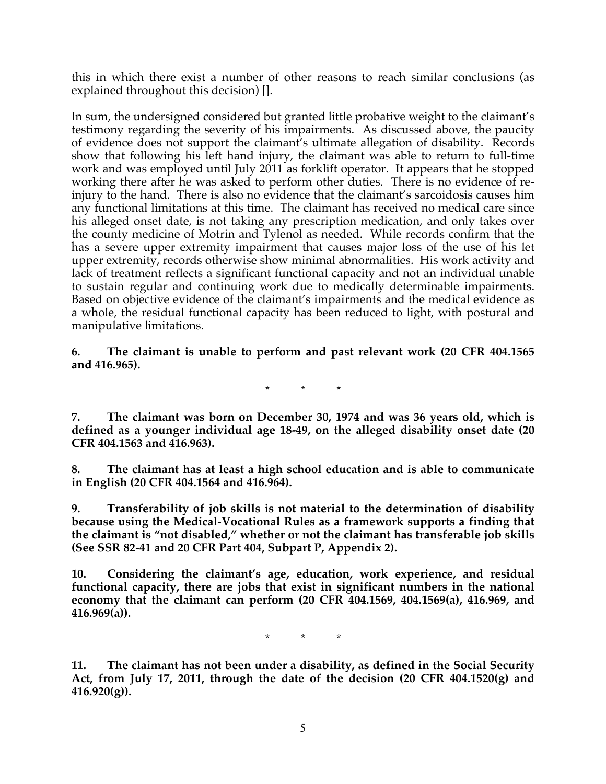this in which there exist a number of other reasons to reach similar conclusions (as explained throughout this decision) [].

In sum, the undersigned considered but granted little probative weight to the claimant's testimony regarding the severity of his impairments. As discussed above, the paucity of evidence does not support the claimant's ultimate allegation of disability. Records show that following his left hand injury, the claimant was able to return to full-time work and was employed until July 2011 as forklift operator. It appears that he stopped working there after he was asked to perform other duties. There is no evidence of reinjury to the hand. There is also no evidence that the claimant's sarcoidosis causes him any functional limitations at this time. The claimant has received no medical care since his alleged onset date, is not taking any prescription medication, and only takes over the county medicine of Motrin and Tylenol as needed. While records confirm that the has a severe upper extremity impairment that causes major loss of the use of his let upper extremity, records otherwise show minimal abnormalities. His work activity and lack of treatment reflects a significant functional capacity and not an individual unable to sustain regular and continuing work due to medically determinable impairments. Based on objective evidence of the claimant's impairments and the medical evidence as a whole, the residual functional capacity has been reduced to light, with postural and manipulative limitations.

**6. The claimant is unable to perform and past relevant work (20 CFR 404.1565 and 416.965).**

\* \* \*

**7. The claimant was born on December 30, 1974 and was 36 years old, which is defined as a younger individual age 18-49, on the alleged disability onset date (20 CFR 404.1563 and 416.963).**

**8. The claimant has at least a high school education and is able to communicate in English (20 CFR 404.1564 and 416.964).**

**9. Transferability of job skills is not material to the determination of disability because using the Medical-Vocational Rules as a framework supports a finding that the claimant is "not disabled," whether or not the claimant has transferable job skills (See SSR 82-41 and 20 CFR Part 404, Subpart P, Appendix 2).**

**10. Considering the claimant's age, education, work experience, and residual functional capacity, there are jobs that exist in significant numbers in the national economy that the claimant can perform (20 CFR 404.1569, 404.1569(a), 416.969, and 416.969(a)).**

\* \* \*

**11. The claimant has not been under a disability, as defined in the Social Security Act, from July 17, 2011, through the date of the decision (20 CFR 404.1520(g) and 416.920(g)).**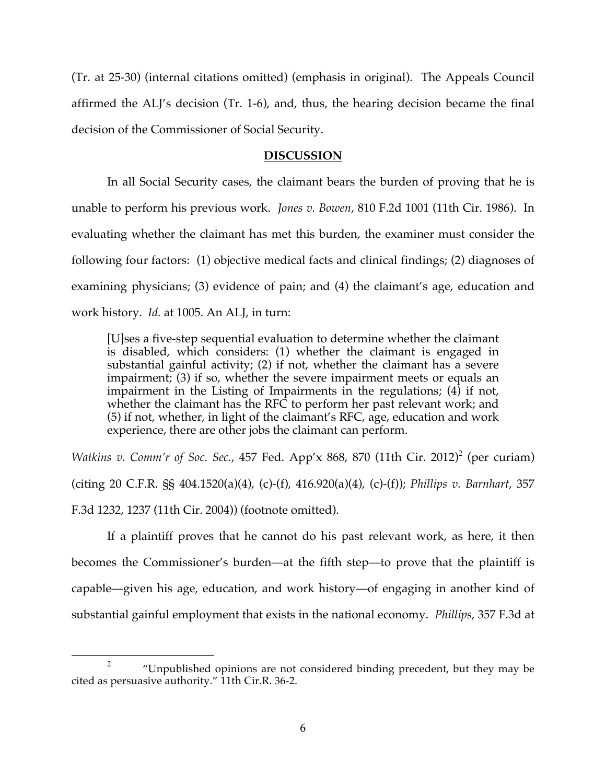(Tr. at 25-30) (internal citations omitted) (emphasis in original). The Appeals Council affirmed the ALJ's decision (Tr. 1-6), and, thus, the hearing decision became the final decision of the Commissioner of Social Security.

### **DISCUSSION**

In all Social Security cases, the claimant bears the burden of proving that he is unable to perform his previous work. *Jones v. Bowen*, 810 F.2d 1001 (11th Cir. 1986). In evaluating whether the claimant has met this burden, the examiner must consider the following four factors: (1) objective medical facts and clinical findings; (2) diagnoses of examining physicians; (3) evidence of pain; and (4) the claimant's age, education and work history. *Id.* at 1005. An ALJ, in turn:

[U]ses a five-step sequential evaluation to determine whether the claimant is disabled, which considers: (1) whether the claimant is engaged in substantial gainful activity; (2) if not, whether the claimant has a severe impairment; (3) if so, whether the severe impairment meets or equals an impairment in the Listing of Impairments in the regulations; (4) if not, whether the claimant has the RFC to perform her past relevant work; and (5) if not, whether, in light of the claimant's RFC, age, education and work experience, there are other jobs the claimant can perform.

*Watkins v. Comm'r of Soc. Sec.*, 457 Fed. App'x 868, 870 (11th Cir. 2012)<sup>2</sup> (per curiam) (citing 20 C.F.R. §§ 404.1520(a)(4), (c)-(f), 416.920(a)(4), (c)-(f)); *Phillips v. Barnhart*, 357 F.3d 1232, 1237 (11th Cir. 2004)) (footnote omitted).

If a plaintiff proves that he cannot do his past relevant work, as here, it then becomes the Commissioner's burden—at the fifth step—to prove that the plaintiff is capable—given his age, education, and work history—of engaging in another kind of substantial gainful employment that exists in the national economy. *Phillips*, 357 F.3d at

<sup>&</sup>quot;Unpublished opinions are not considered binding precedent, but they may be cited as persuasive authority." 11th Cir.R. 36-2.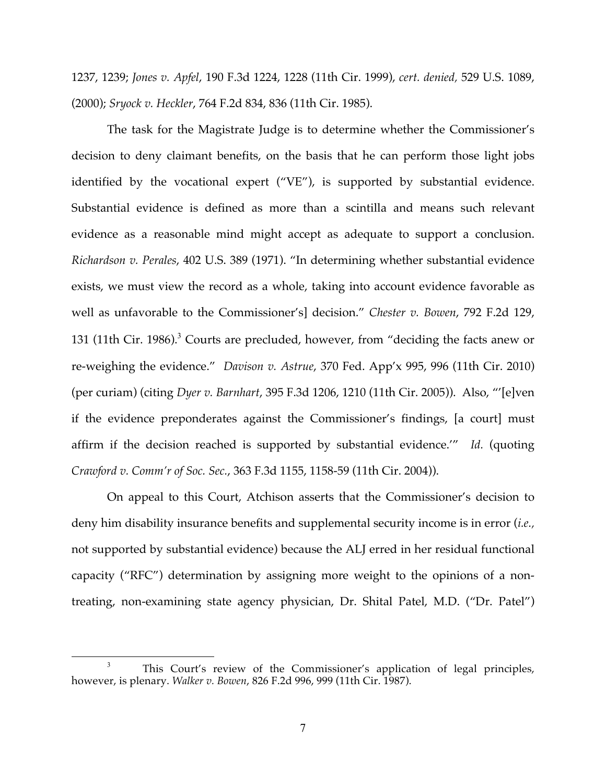1237, 1239; *Jones v. Apfel*, 190 F.3d 1224, 1228 (11th Cir. 1999), *cert. denied,* 529 U.S. 1089, (2000); *Sryock v. Heckler*, 764 F.2d 834, 836 (11th Cir. 1985).

The task for the Magistrate Judge is to determine whether the Commissioner's decision to deny claimant benefits, on the basis that he can perform those light jobs identified by the vocational expert ("VE"), is supported by substantial evidence. Substantial evidence is defined as more than a scintilla and means such relevant evidence as a reasonable mind might accept as adequate to support a conclusion. *Richardson v. Perales*, 402 U.S. 389 (1971). "In determining whether substantial evidence exists, we must view the record as a whole, taking into account evidence favorable as well as unfavorable to the Commissioner's] decision." *Chester v. Bowen*, 792 F.2d 129, 131 (11th Cir. 1986).<sup>3</sup> Courts are precluded, however, from "deciding the facts anew or re-weighing the evidence." *Davison v. Astrue*, 370 Fed. App'x 995, 996 (11th Cir. 2010) (per curiam) (citing *Dyer v. Barnhart*, 395 F.3d 1206, 1210 (11th Cir. 2005)). Also, "'[e]ven if the evidence preponderates against the Commissioner's findings, [a court] must affirm if the decision reached is supported by substantial evidence.'" *Id.* (quoting *Crawford v. Comm'r of Soc. Sec.*, 363 F.3d 1155, 1158-59 (11th Cir. 2004)).

On appeal to this Court, Atchison asserts that the Commissioner's decision to deny him disability insurance benefits and supplemental security income is in error (*i.e.,*  not supported by substantial evidence) because the ALJ erred in her residual functional capacity ("RFC") determination by assigning more weight to the opinions of a nontreating, non-examining state agency physician, Dr. Shital Patel, M.D. ("Dr. Patel")

<sup>&</sup>lt;sup>3</sup> This Court's review of the Commissioner's application of legal principles, however, is plenary. *Walker v. Bowen*, 826 F.2d 996, 999 (11th Cir. 1987).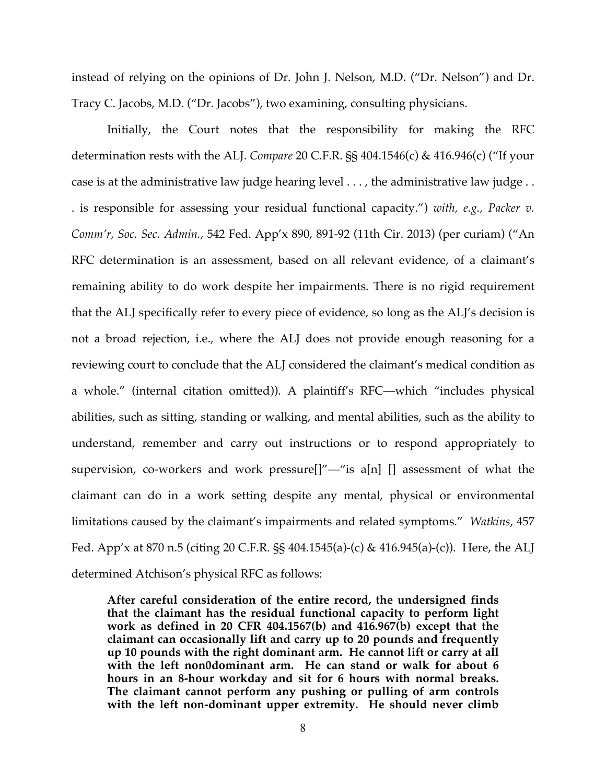instead of relying on the opinions of Dr. John J. Nelson, M.D. ("Dr. Nelson") and Dr. Tracy C. Jacobs, M.D. ("Dr. Jacobs"), two examining, consulting physicians.

Initially, the Court notes that the responsibility for making the RFC determination rests with the ALJ. *Compare* 20 C.F.R. §§ 404.1546(c) & 416.946(c) ("If your case is at the administrative law judge hearing level . . . , the administrative law judge . . . is responsible for assessing your residual functional capacity.") *with, e.g., Packer v. Comm'r, Soc. Sec. Admin.*, 542 Fed. App'x 890, 891-92 (11th Cir. 2013) (per curiam) ("An RFC determination is an assessment, based on all relevant evidence, of a claimant's remaining ability to do work despite her impairments. There is no rigid requirement that the ALJ specifically refer to every piece of evidence, so long as the ALJ's decision is not a broad rejection, i.e., where the ALJ does not provide enough reasoning for a reviewing court to conclude that the ALJ considered the claimant's medical condition as a whole." (internal citation omitted)). A plaintiff's RFC—which "includes physical abilities, such as sitting, standing or walking, and mental abilities, such as the ability to understand, remember and carry out instructions or to respond appropriately to supervision, co-workers and work pressure[]"—"is a[n] [] assessment of what the claimant can do in a work setting despite any mental, physical or environmental limitations caused by the claimant's impairments and related symptoms." *Watkins*, 457 Fed. App'x at 870 n.5 (citing 20 C.F.R. §§ 404.1545(a)-(c) & 416.945(a)-(c)). Here, the ALJ determined Atchison's physical RFC as follows:

**After careful consideration of the entire record, the undersigned finds that the claimant has the residual functional capacity to perform light work as defined in 20 CFR 404.1567(b) and 416.967(b) except that the claimant can occasionally lift and carry up to 20 pounds and frequently up 10 pounds with the right dominant arm. He cannot lift or carry at all with the left non0dominant arm. He can stand or walk for about 6 hours in an 8-hour workday and sit for 6 hours with normal breaks. The claimant cannot perform any pushing or pulling of arm controls with the left non-dominant upper extremity. He should never climb**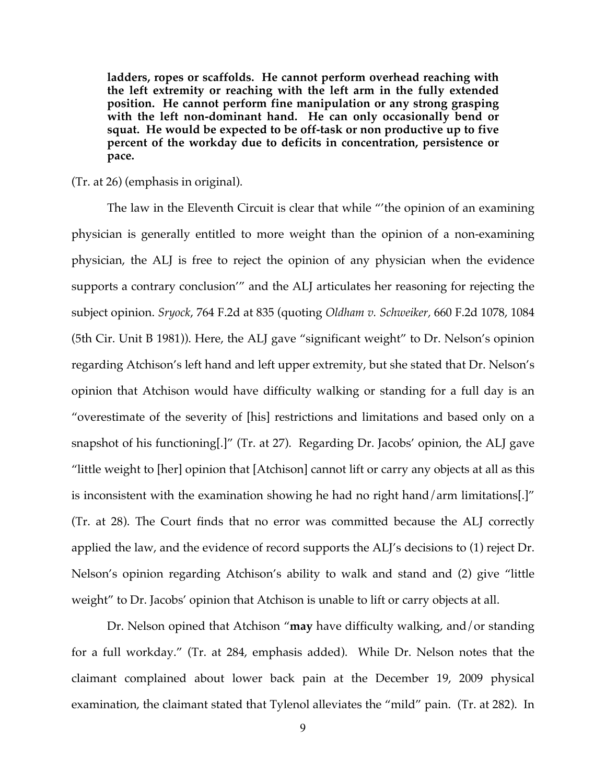**ladders, ropes or scaffolds. He cannot perform overhead reaching with the left extremity or reaching with the left arm in the fully extended position. He cannot perform fine manipulation or any strong grasping with the left non-dominant hand. He can only occasionally bend or squat. He would be expected to be off-task or non productive up to five percent of the workday due to deficits in concentration, persistence or pace.**

### (Tr. at 26) (emphasis in original).

The law in the Eleventh Circuit is clear that while "'the opinion of an examining physician is generally entitled to more weight than the opinion of a non-examining physician, the ALJ is free to reject the opinion of any physician when the evidence supports a contrary conclusion'" and the ALJ articulates her reasoning for rejecting the subject opinion. *Sryock*, 764 F.2d at 835 (quoting *Oldham v. Schweiker,* 660 F.2d 1078, 1084 (5th Cir. Unit B 1981)). Here, the ALJ gave "significant weight" to Dr. Nelson's opinion regarding Atchison's left hand and left upper extremity, but she stated that Dr. Nelson's opinion that Atchison would have difficulty walking or standing for a full day is an "overestimate of the severity of [his] restrictions and limitations and based only on a snapshot of his functioning[.]" (Tr. at 27). Regarding Dr. Jacobs' opinion, the ALJ gave "little weight to [her] opinion that [Atchison] cannot lift or carry any objects at all as this is inconsistent with the examination showing he had no right hand/arm limitations[.]" (Tr. at 28). The Court finds that no error was committed because the ALJ correctly applied the law, and the evidence of record supports the ALJ's decisions to (1) reject Dr. Nelson's opinion regarding Atchison's ability to walk and stand and (2) give "little weight" to Dr. Jacobs' opinion that Atchison is unable to lift or carry objects at all.

Dr. Nelson opined that Atchison "**may** have difficulty walking, and/or standing for a full workday." (Tr. at 284, emphasis added). While Dr. Nelson notes that the claimant complained about lower back pain at the December 19, 2009 physical examination, the claimant stated that Tylenol alleviates the "mild" pain. (Tr. at 282). In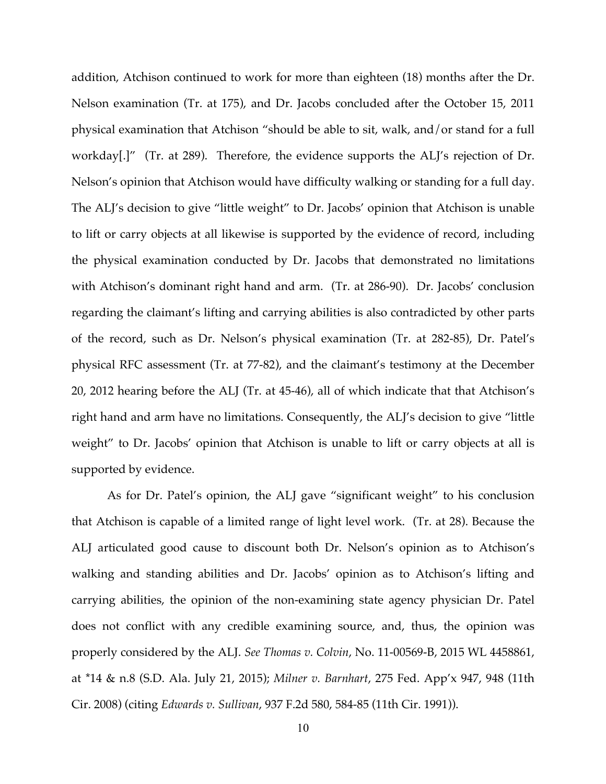addition, Atchison continued to work for more than eighteen (18) months after the Dr. Nelson examination (Tr. at 175), and Dr. Jacobs concluded after the October 15, 2011 physical examination that Atchison "should be able to sit, walk, and/or stand for a full workday[.]" (Tr. at 289). Therefore, the evidence supports the ALJ's rejection of Dr. Nelson's opinion that Atchison would have difficulty walking or standing for a full day. The ALJ's decision to give "little weight" to Dr. Jacobs' opinion that Atchison is unable to lift or carry objects at all likewise is supported by the evidence of record, including the physical examination conducted by Dr. Jacobs that demonstrated no limitations with Atchison's dominant right hand and arm. (Tr. at 286-90). Dr. Jacobs' conclusion regarding the claimant's lifting and carrying abilities is also contradicted by other parts of the record, such as Dr. Nelson's physical examination (Tr. at 282-85), Dr. Patel's physical RFC assessment (Tr. at 77-82), and the claimant's testimony at the December 20, 2012 hearing before the ALJ (Tr. at 45-46), all of which indicate that that Atchison's right hand and arm have no limitations. Consequently, the ALJ's decision to give "little weight" to Dr. Jacobs' opinion that Atchison is unable to lift or carry objects at all is supported by evidence.

As for Dr. Patel's opinion, the ALJ gave "significant weight" to his conclusion that Atchison is capable of a limited range of light level work. (Tr. at 28). Because the ALJ articulated good cause to discount both Dr. Nelson's opinion as to Atchison's walking and standing abilities and Dr. Jacobs' opinion as to Atchison's lifting and carrying abilities, the opinion of the non-examining state agency physician Dr. Patel does not conflict with any credible examining source, and, thus, the opinion was properly considered by the ALJ. *See Thomas v. Colvin*, No. 11-00569-B, 2015 WL 4458861, at \*14 & n.8 (S.D. Ala. July 21, 2015); *Milner v. Barnhart*, 275 Fed. App'x 947, 948 (11th Cir. 2008) (citing *Edwards v. Sullivan*, 937 F.2d 580, 584-85 (11th Cir. 1991)).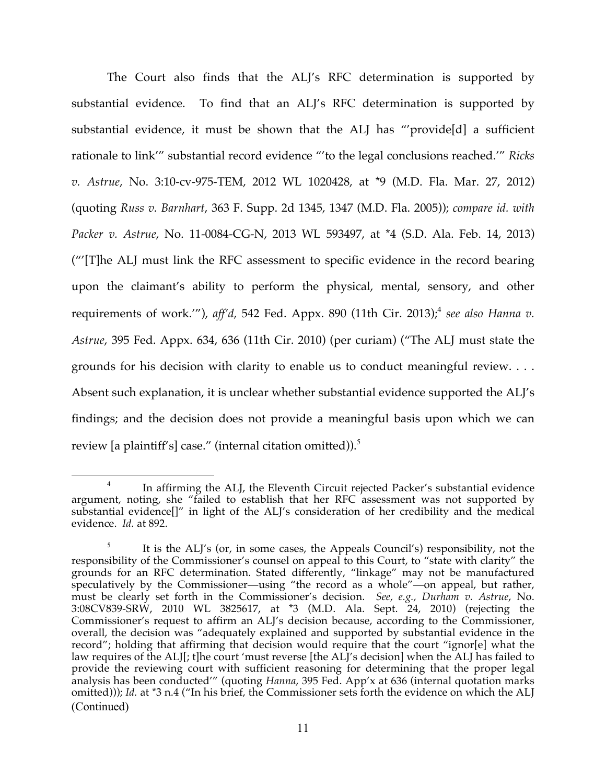The Court also finds that the ALJ's RFC determination is supported by substantial evidence. To find that an ALJ's RFC determination is supported by substantial evidence, it must be shown that the ALJ has "'provide[d] a sufficient rationale to link'" substantial record evidence "'to the legal conclusions reached.'" *Ricks v. Astrue*, No. 3:10-cv-975-TEM, 2012 WL 1020428, at \*9 (M.D. Fla. Mar. 27, 2012) (quoting *Russ v. Barnhart*, 363 F. Supp. 2d 1345, 1347 (M.D. Fla. 2005)); *compare id. with Packer v. Astrue*, No. 11-0084-CG-N, 2013 WL 593497, at \*4 (S.D. Ala. Feb. 14, 2013) ("'[T]he ALJ must link the RFC assessment to specific evidence in the record bearing upon the claimant's ability to perform the physical, mental, sensory, and other requirements of work.'"), *aff'd,* 542 Fed. Appx. 890 (11th Cir. 2013); <sup>4</sup> *see also Hanna v. Astrue*, 395 Fed. Appx. 634, 636 (11th Cir. 2010) (per curiam) ("The ALJ must state the grounds for his decision with clarity to enable us to conduct meaningful review. . . . Absent such explanation, it is unclear whether substantial evidence supported the ALJ's findings; and the decision does not provide a meaningful basis upon which we can review [a plaintiff's] case." (internal citation omitted)).<sup>5</sup>

<sup>&</sup>lt;sup>4</sup> In affirming the ALJ, the Eleventh Circuit rejected Packer's substantial evidence argument, noting, she "failed to establish that her RFC assessment was not supported by substantial evidence[]" in light of the ALJ's consideration of her credibility and the medical evidence. *Id.* at 892.

<sup>&</sup>lt;sup>5</sup> It is the ALJ's (or, in some cases, the Appeals Council's) responsibility, not the responsibility of the Commissioner's counsel on appeal to this Court, to "state with clarity" the grounds for an RFC determination. Stated differently, "linkage" may not be manufactured speculatively by the Commissioner—using "the record as a whole"—on appeal, but rather, must be clearly set forth in the Commissioner's decision. *See, e.g., Durham v. Astrue*, No. 3:08CV839-SRW, 2010 WL 3825617, at \*3 (M.D. Ala. Sept. 24, 2010) (rejecting the Commissioner's request to affirm an ALJ's decision because, according to the Commissioner, overall, the decision was "adequately explained and supported by substantial evidence in the record"; holding that affirming that decision would require that the court "ignor[e] what the law requires of the ALJ[; t]he court 'must reverse [the ALJ's decision] when the ALJ has failed to provide the reviewing court with sufficient reasoning for determining that the proper legal analysis has been conducted'" (quoting *Hanna*, 395 Fed. App'x at 636 (internal quotation marks omitted))); *Id.* at \*3 n.4 ("In his brief, the Commissioner sets forth the evidence on which the ALJ (Continued)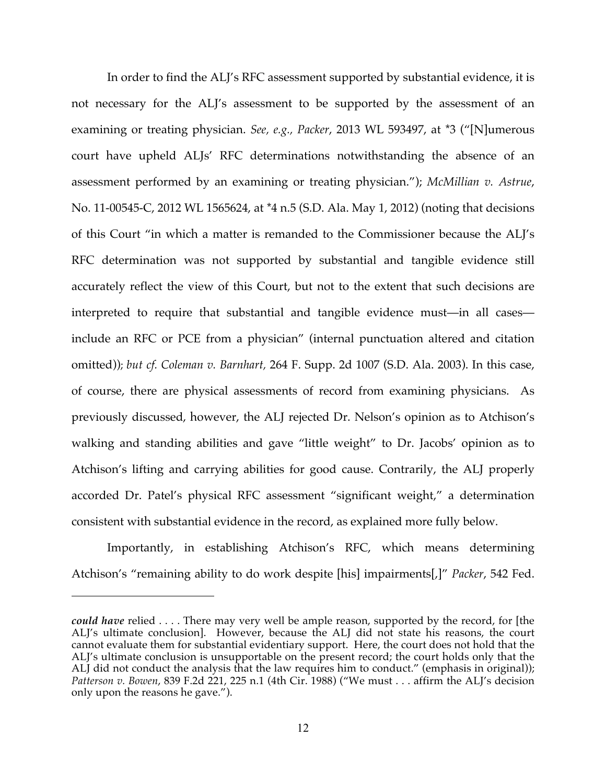In order to find the ALJ's RFC assessment supported by substantial evidence, it is not necessary for the ALJ's assessment to be supported by the assessment of an examining or treating physician. *See, e.g., Packer*, 2013 WL 593497, at \*3 ("[N]umerous court have upheld ALJs' RFC determinations notwithstanding the absence of an assessment performed by an examining or treating physician."); *McMillian v. Astrue*, No. 11-00545-C, 2012 WL 1565624, at \*4 n.5 (S.D. Ala. May 1, 2012) (noting that decisions of this Court "in which a matter is remanded to the Commissioner because the ALJ's RFC determination was not supported by substantial and tangible evidence still accurately reflect the view of this Court, but not to the extent that such decisions are interpreted to require that substantial and tangible evidence must—in all cases include an RFC or PCE from a physician" (internal punctuation altered and citation omitted)); *but cf. Coleman v. Barnhart,* 264 F. Supp. 2d 1007 (S.D. Ala. 2003). In this case, of course, there are physical assessments of record from examining physicians. As previously discussed, however, the ALJ rejected Dr. Nelson's opinion as to Atchison's walking and standing abilities and gave "little weight" to Dr. Jacobs' opinion as to Atchison's lifting and carrying abilities for good cause. Contrarily, the ALJ properly accorded Dr. Patel's physical RFC assessment "significant weight," a determination consistent with substantial evidence in the record, as explained more fully below.

Importantly, in establishing Atchison's RFC, which means determining Atchison's "remaining ability to do work despite [his] impairments[,]" *Packer*, 542 Fed.

<u>.</u>

*could have* relied . . . . There may very well be ample reason, supported by the record, for [the ALJ's ultimate conclusion]. However, because the ALJ did not state his reasons, the court cannot evaluate them for substantial evidentiary support. Here, the court does not hold that the ALJ's ultimate conclusion is unsupportable on the present record; the court holds only that the ALJ did not conduct the analysis that the law requires him to conduct." (emphasis in original)); *Patterson v. Bowen*, 839 F.2d 221, 225 n.1 (4th Cir. 1988) ("We must . . . affirm the ALJ's decision only upon the reasons he gave.").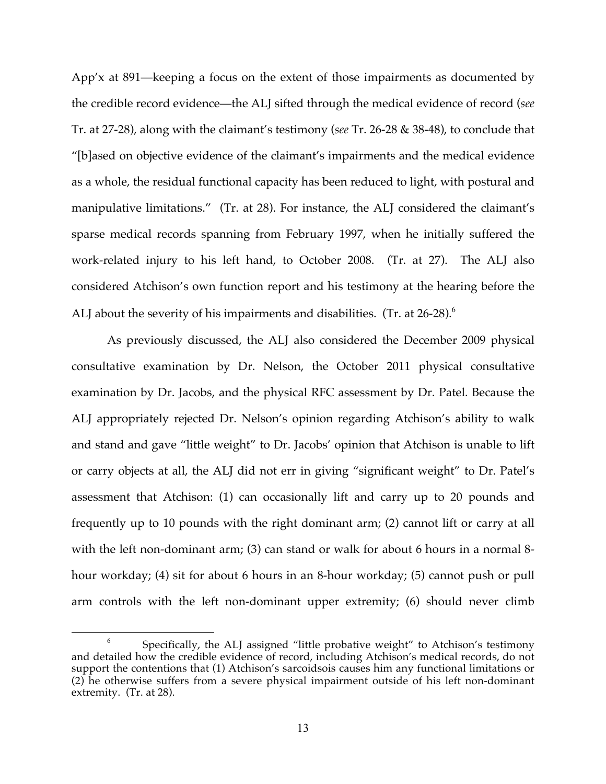App'x at 891—keeping a focus on the extent of those impairments as documented by the credible record evidence—the ALJ sifted through the medical evidence of record (*see* Tr. at 27-28), along with the claimant's testimony (*see* Tr. 26-28 & 38-48), to conclude that "[b]ased on objective evidence of the claimant's impairments and the medical evidence as a whole, the residual functional capacity has been reduced to light, with postural and manipulative limitations." (Tr. at 28). For instance, the ALJ considered the claimant's sparse medical records spanning from February 1997, when he initially suffered the work-related injury to his left hand, to October 2008. (Tr. at 27). The ALJ also considered Atchison's own function report and his testimony at the hearing before the ALJ about the severity of his impairments and disabilities. (Tr. at 26-28).<sup>6</sup>

As previously discussed, the ALJ also considered the December 2009 physical consultative examination by Dr. Nelson, the October 2011 physical consultative examination by Dr. Jacobs, and the physical RFC assessment by Dr. Patel. Because the ALJ appropriately rejected Dr. Nelson's opinion regarding Atchison's ability to walk and stand and gave "little weight" to Dr. Jacobs' opinion that Atchison is unable to lift or carry objects at all, the ALJ did not err in giving "significant weight" to Dr. Patel's assessment that Atchison: (1) can occasionally lift and carry up to 20 pounds and frequently up to 10 pounds with the right dominant arm; (2) cannot lift or carry at all with the left non-dominant arm; (3) can stand or walk for about 6 hours in a normal 8hour workday; (4) sit for about 6 hours in an 8-hour workday; (5) cannot push or pull arm controls with the left non-dominant upper extremity; (6) should never climb

 <sup>6</sup> Specifically, the ALJ assigned "little probative weight" to Atchison's testimony and detailed how the credible evidence of record, including Atchison's medical records, do not support the contentions that (1) Atchison's sarcoidsois causes him any functional limitations or (2) he otherwise suffers from a severe physical impairment outside of his left non-dominant extremity. (Tr. at 28).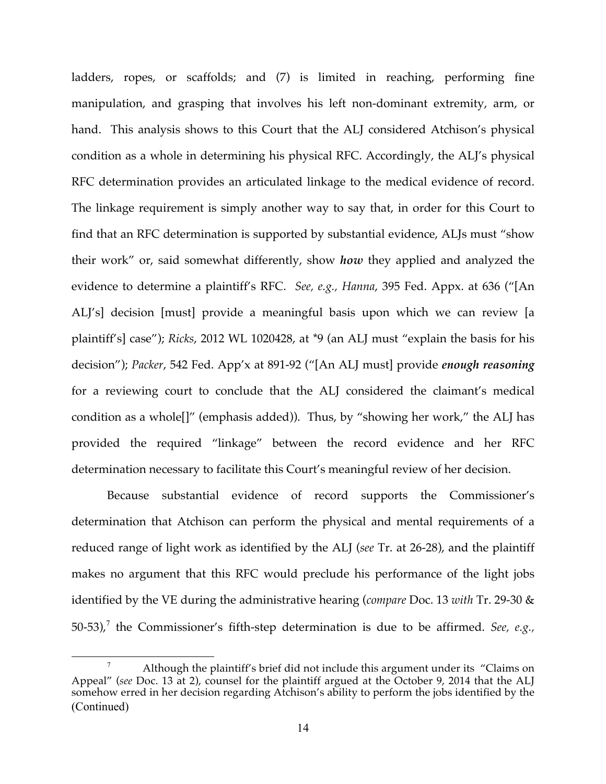ladders, ropes, or scaffolds; and (7) is limited in reaching, performing fine manipulation, and grasping that involves his left non-dominant extremity, arm, or hand. This analysis shows to this Court that the ALJ considered Atchison's physical condition as a whole in determining his physical RFC. Accordingly, the ALJ's physical RFC determination provides an articulated linkage to the medical evidence of record. The linkage requirement is simply another way to say that, in order for this Court to find that an RFC determination is supported by substantial evidence, ALJs must "show their work" or, said somewhat differently, show *how* they applied and analyzed the evidence to determine a plaintiff's RFC. *See, e.g., Hanna*, 395 Fed. Appx. at 636 ("[An ALJ's] decision [must] provide a meaningful basis upon which we can review [a plaintiff's] case"); *Ricks*, 2012 WL 1020428, at \*9 (an ALJ must "explain the basis for his decision"); *Packer*, 542 Fed. App'x at 891-92 ("[An ALJ must] provide *enough reasoning* for a reviewing court to conclude that the ALJ considered the claimant's medical condition as a whole[]" (emphasis added)). Thus, by "showing her work," the ALJ has provided the required "linkage" between the record evidence and her RFC determination necessary to facilitate this Court's meaningful review of her decision.

Because substantial evidence of record supports the Commissioner's determination that Atchison can perform the physical and mental requirements of a reduced range of light work as identified by the ALJ (*see* Tr. at 26-28), and the plaintiff makes no argument that this RFC would preclude his performance of the light jobs identified by the VE during the administrative hearing (*compare* Doc. 13 *with* Tr. 29-30 & 50-53),<sup>7</sup> the Commissioner's fifth-step determination is due to be affirmed. *See, e.g.*,

Although the plaintiff's brief did not include this argument under its "Claims on Appeal" (*see* Doc. 13 at 2), counsel for the plaintiff argued at the October 9, 2014 that the ALJ somehow erred in her decision regarding Atchison's ability to perform the jobs identified by the (Continued)